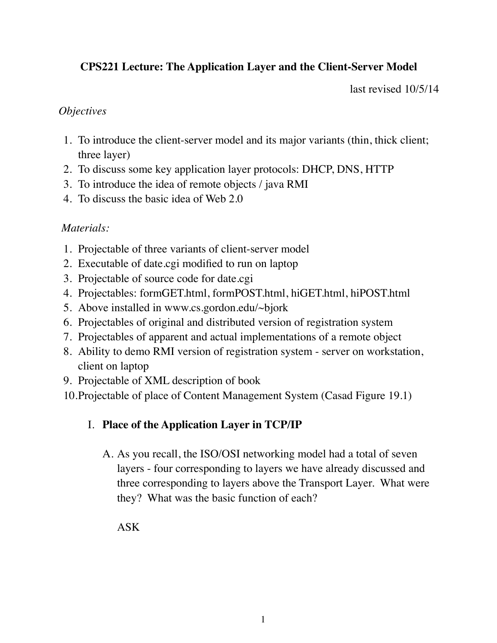## **CPS221 Lecture: The Application Layer and the Client-Server Model**

last revised 10/5/14

#### *Objectives*

- 1. To introduce the client-server model and its major variants (thin, thick client; three layer)
- 2. To discuss some key application layer protocols: DHCP, DNS, HTTP
- 3. To introduce the idea of remote objects / java RMI
- 4. To discuss the basic idea of Web 2.0

## *Materials:*

- 1. Projectable of three variants of client-server model
- 2. Executable of date.cgi modified to run on laptop
- 3. Projectable of source code for date.cgi
- 4. Projectables: formGET.html, formPOST.html, hiGET.html, hiPOST.html
- 5. Above installed in www.cs.gordon.edu/~bjork
- 6. Projectables of original and distributed version of registration system
- 7. Projectables of apparent and actual implementations of a remote object
- 8. Ability to demo RMI version of registration system server on workstation, client on laptop
- 9. Projectable of XML description of book
- 10.Projectable of place of Content Management System (Casad Figure 19.1)

# I. **Place of the Application Layer in TCP/IP**

A. As you recall, the ISO/OSI networking model had a total of seven layers - four corresponding to layers we have already discussed and three corresponding to layers above the Transport Layer. What were they? What was the basic function of each?

ASK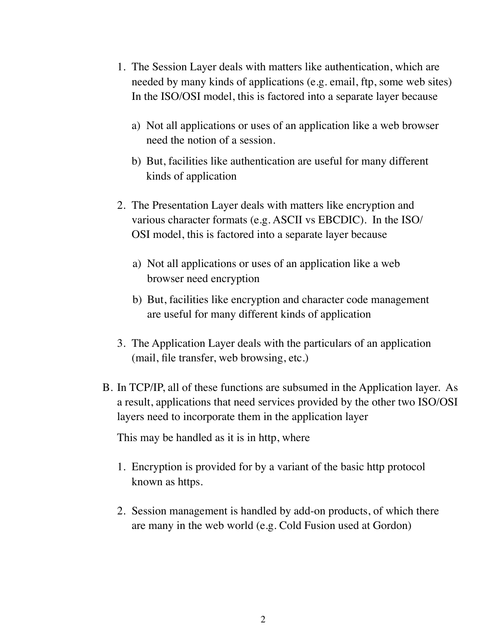- 1. The Session Layer deals with matters like authentication, which are needed by many kinds of applications (e.g. email, ftp, some web sites) In the ISO/OSI model, this is factored into a separate layer because
	- a) Not all applications or uses of an application like a web browser need the notion of a session.
	- b) But, facilities like authentication are useful for many different kinds of application
- 2. The Presentation Layer deals with matters like encryption and various character formats (e.g. ASCII vs EBCDIC). In the ISO/ OSI model, this is factored into a separate layer because
	- a) Not all applications or uses of an application like a web browser need encryption
	- b) But, facilities like encryption and character code management are useful for many different kinds of application
- 3. The Application Layer deals with the particulars of an application (mail, file transfer, web browsing, etc.)
- B. In TCP/IP, all of these functions are subsumed in the Application layer. As a result, applications that need services provided by the other two ISO/OSI layers need to incorporate them in the application layer

This may be handled as it is in http, where

- 1. Encryption is provided for by a variant of the basic http protocol known as https.
- 2. Session management is handled by add-on products, of which there are many in the web world (e.g. Cold Fusion used at Gordon)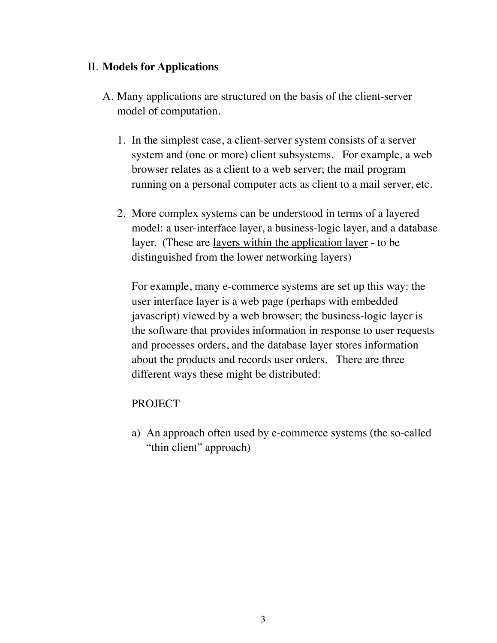### II. **Models for Applications**

- A. Many applications are structured on the basis of the client-server model of computation.
	- 1. In the simplest case, a client-server system consists of a server system and (one or more) client subsystems. For example, a web browser relates as a client to a web server; the mail program running on a personal computer acts as client to a mail server, etc.
	- 2. More complex systems can be understood in terms of a layered model: a user-interface layer, a business-logic layer, and a database layer. (These are layers within the application layer - to be distinguished from the lower networking layers)

For example, many e-commerce systems are set up this way: the user interface layer is a web page (perhaps with embedded javascript) viewed by a web browser; the business-logic layer is the software that provides information in response to user requests and processes orders, and the database layer stores information about the products and records user orders. There are three different ways these might be distributed:

#### PROJECT

a) An approach often used by e-commerce systems (the so-called "thin client" approach)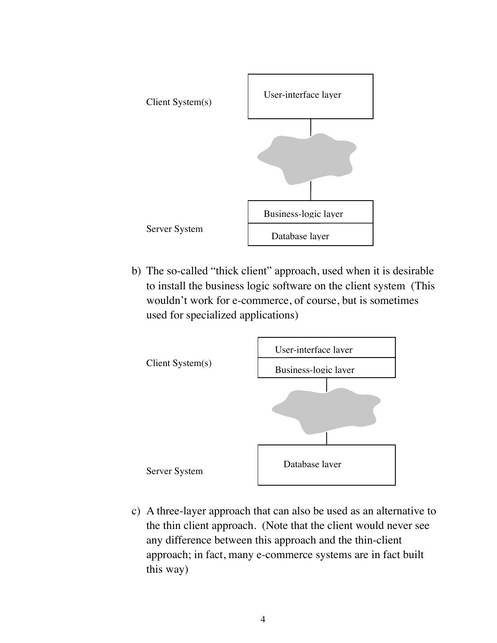

b) The so-called "thick client" approach, used when it is desirable to install the business logic software on the client system (This wouldn't work for e-commerce, of course, but is sometimes used for specialized applications)



c) A three-layer approach that can also be used as an alternative to the thin client approach. (Note that the client would never see any difference between this approach and the thin-client approach; in fact, many e-commerce systems are in fact built this way)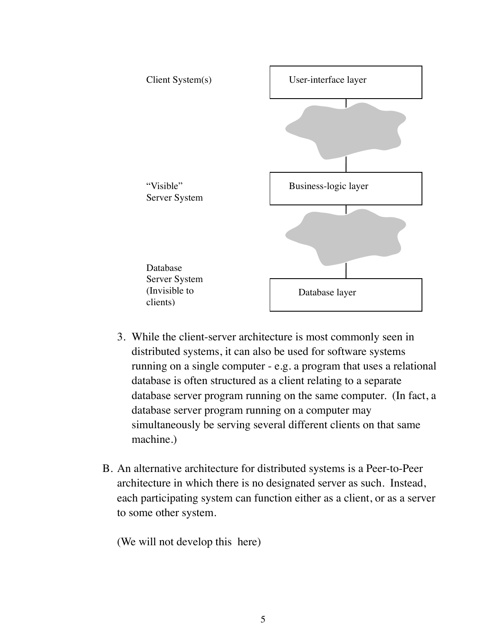

- 3. While the client-server architecture is most commonly seen in distributed systems, it can also be used for software systems running on a single computer - e.g. a program that uses a relational database is often structured as a client relating to a separate database server program running on the same computer. (In fact, a database server program running on a computer may simultaneously be serving several different clients on that same machine.)
- B. An alternative architecture for distributed systems is a Peer-to-Peer architecture in which there is no designated server as such. Instead, each participating system can function either as a client, or as a server to some other system.

(We will not develop this here)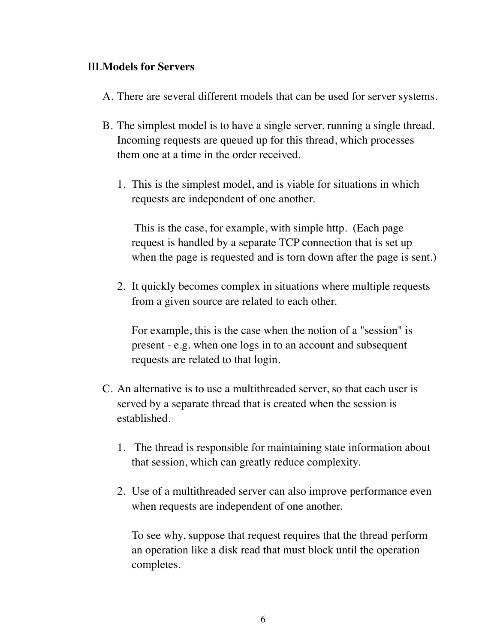#### III.**Models for Servers**

- A. There are several different models that can be used for server systems.
- B. The simplest model is to have a single server, running a single thread. Incoming requests are queued up for this thread, which processes them one at a time in the order received.
	- 1. This is the simplest model, and is viable for situations in which requests are independent of one another.

 This is the case, for example, with simple http. (Each page request is handled by a separate TCP connection that is set up when the page is requested and is torn down after the page is sent.)

2. It quickly becomes complex in situations where multiple requests from a given source are related to each other.

For example, this is the case when the notion of a "session" is present - e.g. when one logs in to an account and subsequent requests are related to that login.

- C. An alternative is to use a multithreaded server, so that each user is served by a separate thread that is created when the session is established.
	- 1. The thread is responsible for maintaining state information about that session, which can greatly reduce complexity.
	- 2. Use of a multithreaded server can also improve performance even when requests are independent of one another.

To see why, suppose that request requires that the thread perform an operation like a disk read that must block until the operation completes.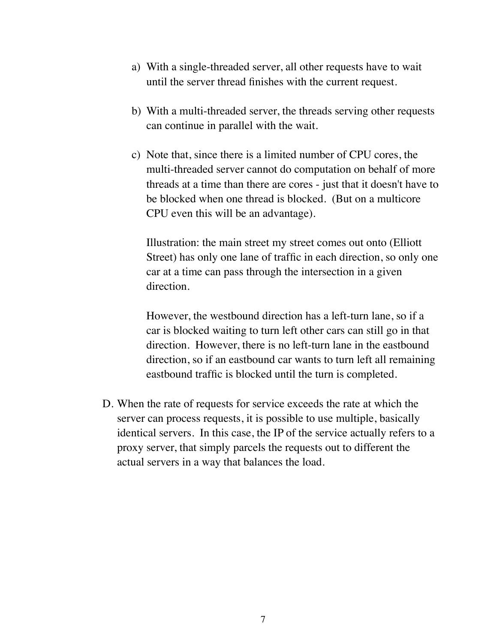- a) With a single-threaded server, all other requests have to wait until the server thread finishes with the current request.
- b) With a multi-threaded server, the threads serving other requests can continue in parallel with the wait.
- c) Note that, since there is a limited number of CPU cores, the multi-threaded server cannot do computation on behalf of more threads at a time than there are cores - just that it doesn't have to be blocked when one thread is blocked. (But on a multicore CPU even this will be an advantage).

Illustration: the main street my street comes out onto (Elliott Street) has only one lane of traffic in each direction, so only one car at a time can pass through the intersection in a given direction.

However, the westbound direction has a left-turn lane, so if a car is blocked waiting to turn left other cars can still go in that direction. However, there is no left-turn lane in the eastbound direction, so if an eastbound car wants to turn left all remaining eastbound traffic is blocked until the turn is completed.

D. When the rate of requests for service exceeds the rate at which the server can process requests, it is possible to use multiple, basically identical servers. In this case, the IP of the service actually refers to a proxy server, that simply parcels the requests out to different the actual servers in a way that balances the load.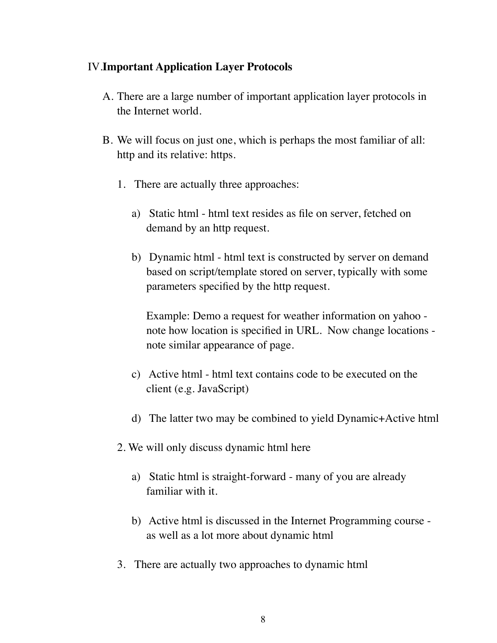#### IV.**Important Application Layer Protocols**

- A. There are a large number of important application layer protocols in the Internet world.
- B. We will focus on just one, which is perhaps the most familiar of all: http and its relative: https.
	- 1. There are actually three approaches:
		- a) Static html html text resides as file on server, fetched on demand by an http request.
		- b) Dynamic html html text is constructed by server on demand based on script/template stored on server, typically with some parameters specified by the http request.

Example: Demo a request for weather information on yahoo note how location is specified in URL. Now change locations note similar appearance of page.

- c) Active html html text contains code to be executed on the client (e.g. JavaScript)
- d) The latter two may be combined to yield Dynamic+Active html
- 2. We will only discuss dynamic html here
	- a) Static html is straight-forward many of you are already familiar with it.
	- b) Active html is discussed in the Internet Programming course as well as a lot more about dynamic html
- 3. There are actually two approaches to dynamic html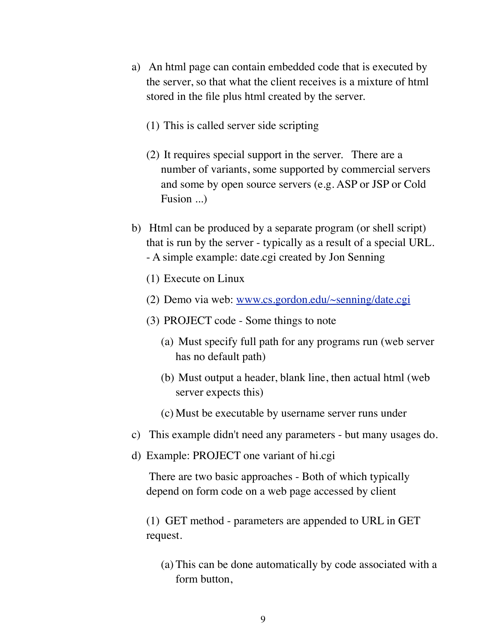- a) An html page can contain embedded code that is executed by the server, so that what the client receives is a mixture of html stored in the file plus html created by the server.
	- (1) This is called server side scripting
	- (2) It requires special support in the server. There are a number of variants, some supported by commercial servers and some by open source servers (e.g. ASP or JSP or Cold Fusion ...)
- b) Html can be produced by a separate program (or shell script) that is run by the server - typically as a result of a special URL. - A simple example: date.cgi created by Jon Senning
	- (1) Execute on Linux
	- (2) Demo via web: [www.cs.gordon.edu/~senning/date.cgi](http://www.cs.gordon.edu/~senning/date.cgi)
	- (3) PROJECT code Some things to note
		- (a) Must specify full path for any programs run (web server has no default path)
		- (b) Must output a header, blank line, then actual html (web server expects this)
		- (c) Must be executable by username server runs under
- c) This example didn't need any parameters but many usages do.
- d) Example: PROJECT one variant of hi.cgi

 There are two basic approaches - Both of which typically depend on form code on a web page accessed by client

(1) GET method - parameters are appended to URL in GET request.

(a) This can be done automatically by code associated with a form button,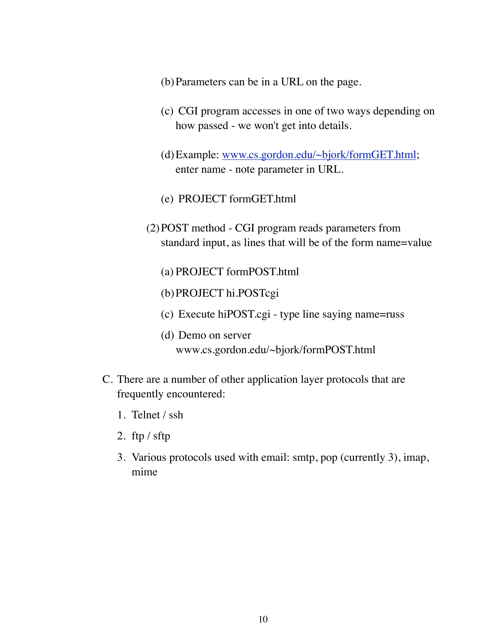- (b)Parameters can be in a URL on the page.
- (c) CGI program accesses in one of two ways depending on how passed - we won't get into details.
- (d)Example: [www.cs.gordon.edu/~bjork/formGET.html](http://www.cs.gordon.edu/~bjork/formGET.html); enter name - note parameter in URL.
- (e) PROJECT formGET.html
- (2)POST method CGI program reads parameters from standard input, as lines that will be of the form name=value
	- (a) PROJECT formPOST.html
	- (b)PROJECT hi.POSTcgi
	- (c) Execute hiPOST.cgi type line saying name=russ
	- (d) Demo on server www.cs.gordon.edu/~bjork/formPOST.html
- C. There are a number of other application layer protocols that are frequently encountered:
	- 1. Telnet / ssh
	- 2. ftp / sftp
	- 3. Various protocols used with email: smtp, pop (currently 3), imap, mime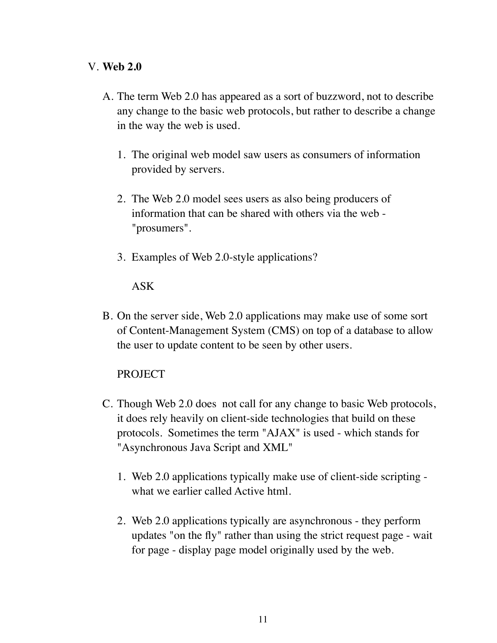#### V. **Web 2.0**

- A. The term Web 2.0 has appeared as a sort of buzzword, not to describe any change to the basic web protocols, but rather to describe a change in the way the web is used.
	- 1. The original web model saw users as consumers of information provided by servers.
	- 2. The Web 2.0 model sees users as also being producers of information that can be shared with others via the web - "prosumers".
	- 3. Examples of Web 2.0-style applications?

#### ASK

B. On the server side, Web 2.0 applications may make use of some sort of Content-Management System (CMS) on top of a database to allow the user to update content to be seen by other users.

### PROJECT

- C. Though Web 2.0 does not call for any change to basic Web protocols, it does rely heavily on client-side technologies that build on these protocols. Sometimes the term "AJAX" is used - which stands for "Asynchronous Java Script and XML"
	- 1. Web 2.0 applications typically make use of client-side scripting what we earlier called Active html.
	- 2. Web 2.0 applications typically are asynchronous they perform updates "on the fly" rather than using the strict request page - wait for page - display page model originally used by the web.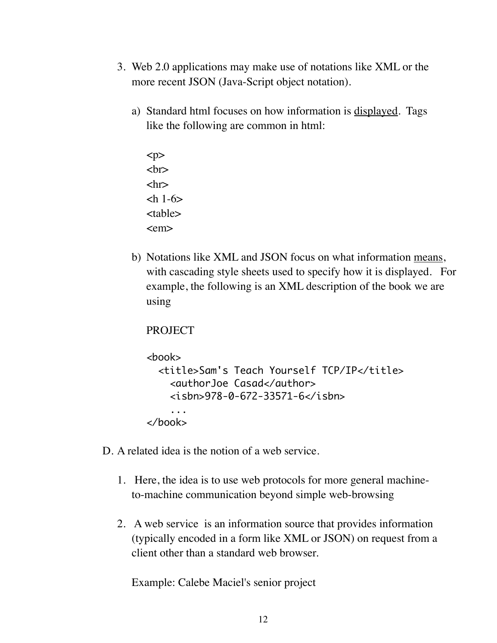- 3. Web 2.0 applications may make use of notations like XML or the more recent JSON (Java-Script object notation).
	- a) Standard html focuses on how information is displayed. Tags like the following are common in html:
		- $< p >$  $br>$  $\langle$ hr $>$  $\mathsf{ch}$  1-6 $\mathsf{h}$ <table> <em>
	- b) Notations like XML and JSON focus on what information means, with cascading style sheets used to specify how it is displayed. For example, the following is an XML description of the book we are using

```
PROJECT
```

```
<hook> <title>Sam's Teach Yourself TCP/IP</title>
     <authorJoe Casad</author>
    \langleisbn>978-0-672-33571-6</isbn>
     ...
</book>
```
- D. A related idea is the notion of a web service.
	- 1. Here, the idea is to use web protocols for more general machineto-machine communication beyond simple web-browsing
	- 2. A web service is an information source that provides information (typically encoded in a form like XML or JSON) on request from a client other than a standard web browser.

Example: Calebe Maciel's senior project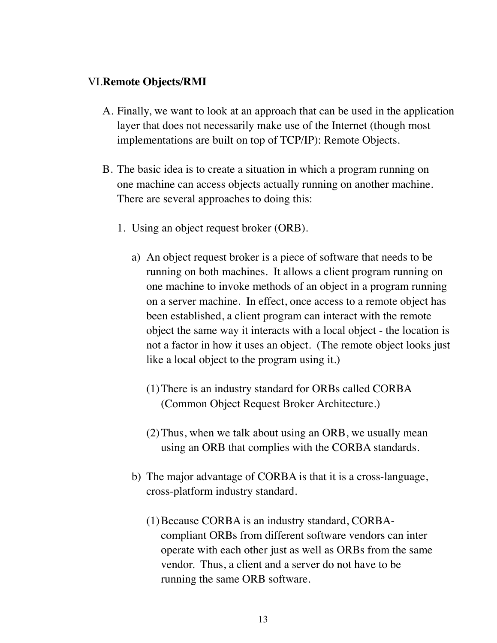#### VI.**Remote Objects/RMI**

- A. Finally, we want to look at an approach that can be used in the application layer that does not necessarily make use of the Internet (though most implementations are built on top of TCP/IP): Remote Objects.
- B. The basic idea is to create a situation in which a program running on one machine can access objects actually running on another machine. There are several approaches to doing this:
	- 1. Using an object request broker (ORB).
		- a) An object request broker is a piece of software that needs to be running on both machines. It allows a client program running on one machine to invoke methods of an object in a program running on a server machine. In effect, once access to a remote object has been established, a client program can interact with the remote object the same way it interacts with a local object - the location is not a factor in how it uses an object. (The remote object looks just like a local object to the program using it.)
			- (1)There is an industry standard for ORBs called CORBA (Common Object Request Broker Architecture.)
			- (2)Thus, when we talk about using an ORB, we usually mean using an ORB that complies with the CORBA standards.
		- b) The major advantage of CORBA is that it is a cross-language, cross-platform industry standard.
			- (1)Because CORBA is an industry standard, CORBAcompliant ORBs from different software vendors can inter operate with each other just as well as ORBs from the same vendor. Thus, a client and a server do not have to be running the same ORB software.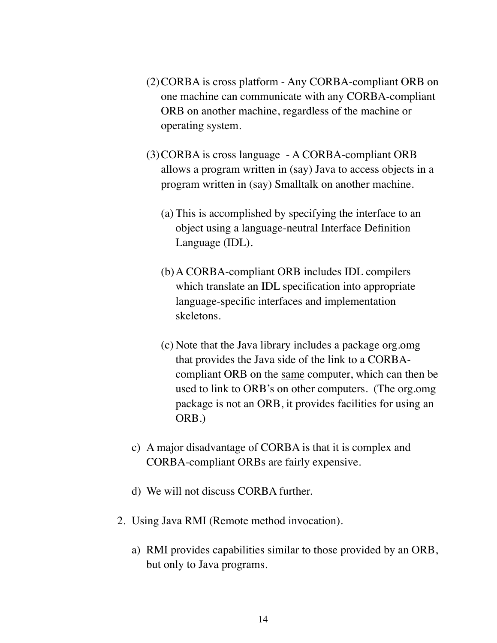- (2)CORBA is cross platform Any CORBA-compliant ORB on one machine can communicate with any CORBA-compliant ORB on another machine, regardless of the machine or operating system.
- (3)CORBA is cross language A CORBA-compliant ORB allows a program written in (say) Java to access objects in a program written in (say) Smalltalk on another machine.
	- (a) This is accomplished by specifying the interface to an object using a language-neutral Interface Definition Language (IDL).
	- (b)A CORBA-compliant ORB includes IDL compilers which translate an IDL specification into appropriate language-specific interfaces and implementation skeletons.
	- (c) Note that the Java library includes a package org.omg that provides the Java side of the link to a CORBAcompliant ORB on the same computer, which can then be used to link to ORB's on other computers. (The org.omg package is not an ORB, it provides facilities for using an ORB.)
- c) A major disadvantage of CORBA is that it is complex and CORBA-compliant ORBs are fairly expensive.
- d) We will not discuss CORBA further.
- 2. Using Java RMI (Remote method invocation).
	- a) RMI provides capabilities similar to those provided by an ORB, but only to Java programs.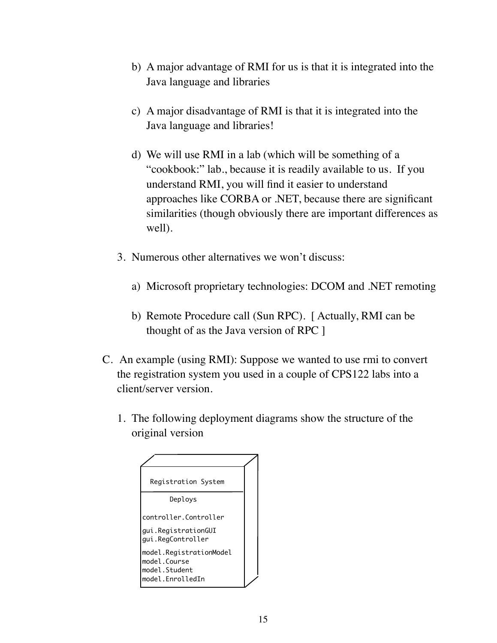- b) A major advantage of RMI for us is that it is integrated into the Java language and libraries
- c) A major disadvantage of RMI is that it is integrated into the Java language and libraries!
- d) We will use RMI in a lab (which will be something of a "cookbook:" lab., because it is readily available to us. If you understand RMI, you will find it easier to understand approaches like CORBA or .NET, because there are significant similarities (though obviously there are important differences as well).
- 3. Numerous other alternatives we won't discuss:
	- a) Microsoft proprietary technologies: DCOM and .NET remoting
	- b) Remote Procedure call (Sun RPC). [ Actually, RMI can be thought of as the Java version of RPC ]
- C. An example (using RMI): Suppose we wanted to use rmi to convert the registration system you used in a couple of CPS122 labs into a client/server version.
	- 1. The following deployment diagrams show the structure of the original version

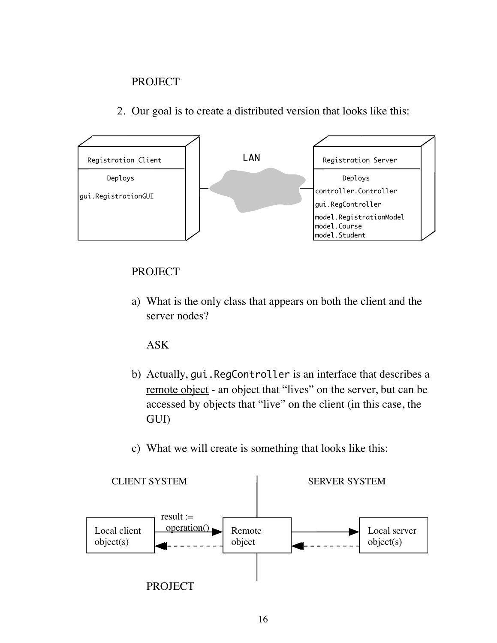### PROJECT

2. Our goal is to create a distributed version that looks like this:



## PROJECT

a) What is the only class that appears on both the client and the server nodes?

### ASK

- b) Actually, gui.RegController is an interface that describes a remote object - an object that "lives" on the server, but can be accessed by objects that "live" on the client (in this case, the GUI)
- c) What we will create is something that looks like this:

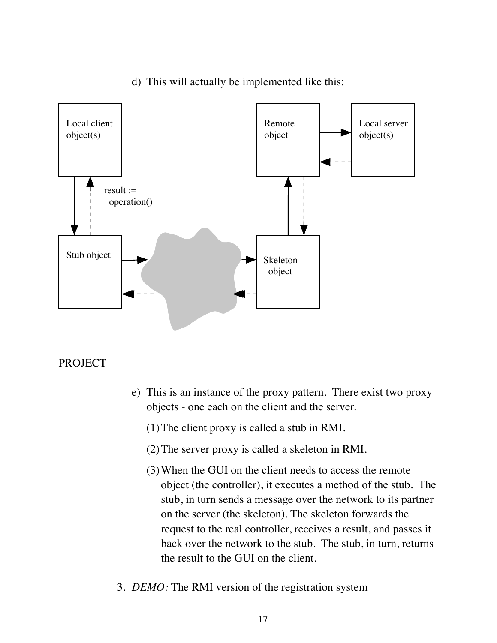

## d) This will actually be implemented like this:

#### PROJECT

- e) This is an instance of the proxy pattern. There exist two proxy objects - one each on the client and the server.
	- (1)The client proxy is called a stub in RMI.
	- (2)The server proxy is called a skeleton in RMI.
	- (3)When the GUI on the client needs to access the remote object (the controller), it executes a method of the stub. The stub, in turn sends a message over the network to its partner on the server (the skeleton). The skeleton forwards the request to the real controller, receives a result, and passes it back over the network to the stub. The stub, in turn, returns the result to the GUI on the client.
- 3. *DEMO:* The RMI version of the registration system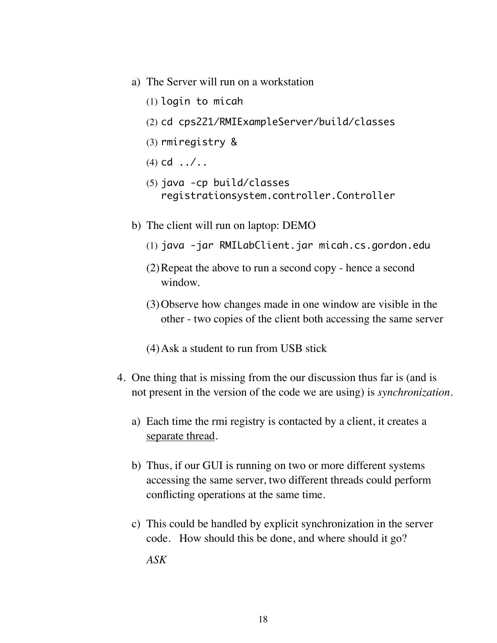- a) The Server will run on a workstation
	- (1) login to micah
	- (2) cd cps221/RMIExampleServer/build/classes
	- (3) rmiregistry &
	- (4) cd  $\ldots$  ...
	- (5) java -cp build/classes registrationsystem.controller.Controller
- b) The client will run on laptop: DEMO
	- (1) java -jar RMILabClient.jar micah.cs.gordon.edu
	- (2)Repeat the above to run a second copy hence a second window.
	- (3)Observe how changes made in one window are visible in the other - two copies of the client both accessing the same server
	- (4)Ask a student to run from USB stick
- 4. One thing that is missing from the our discussion thus far is (and is not present in the version of the code we are using) is *synchronization.*
	- a) Each time the rmi registry is contacted by a client, it creates a separate thread.
	- b) Thus, if our GUI is running on two or more different systems accessing the same server, two different threads could perform conflicting operations at the same time.
	- c) This could be handled by explicit synchronization in the server code. How should this be done, and where should it go? *ASK*